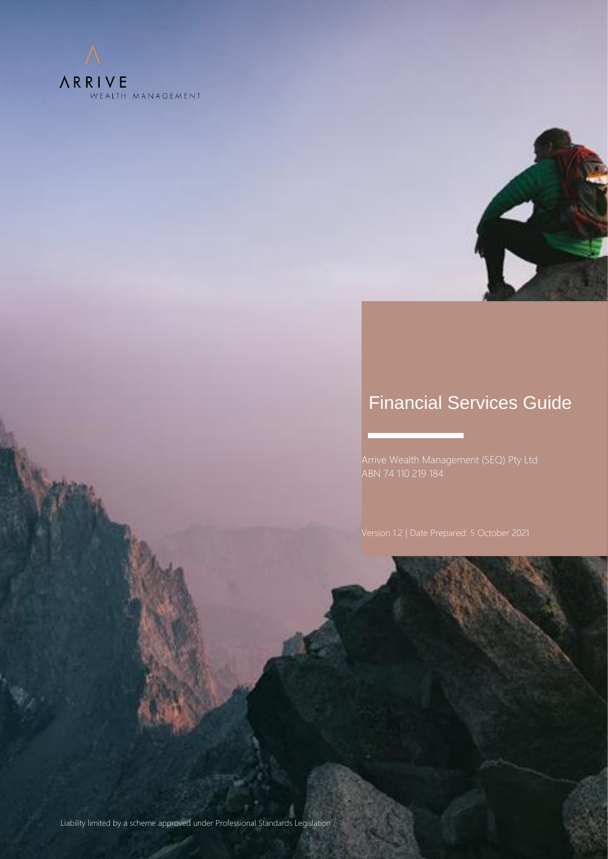



# Financial Services Guide

Arrive Wealth Management (SEQ) Pty Ltd

Version 1.0 | Date Prepared: 24 March 2021

Liability limited by a scheme approved under Professional Standards Legislation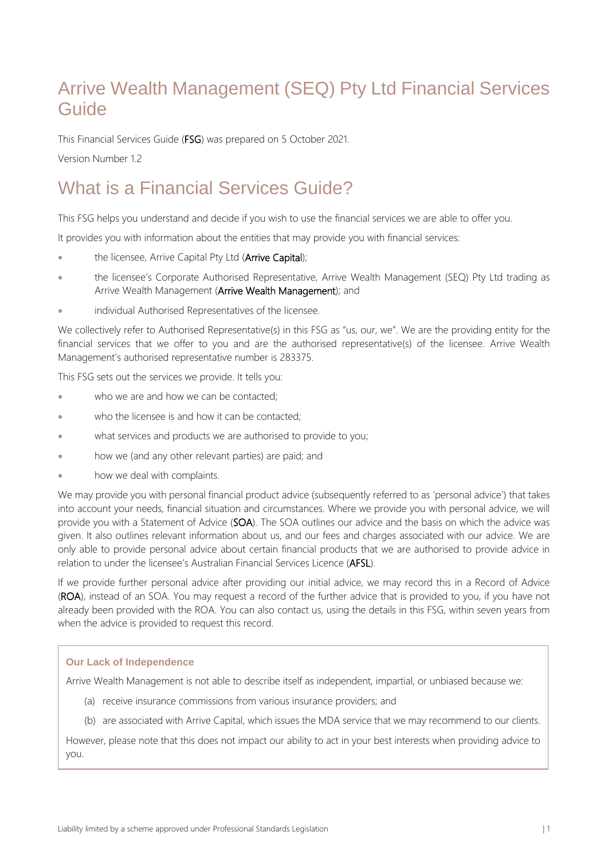# Arrive Wealth Management (SEQ) Pty Ltd Financial Services Guide

This Financial Services Guide (FSG) was prepared on 5 October 2021.

Version Number 12

# What is a Financial Services Guide?

This FSG helps you understand and decide if you wish to use the financial services we are able to offer you.

It provides you with information about the entities that may provide you with financial services:

- the licensee, Arrive Capital Pty Ltd (Arrive Capital);
- the licensee's Corporate Authorised Representative, Arrive Wealth Management (SEQ) Pty Ltd trading as Arrive Wealth Management (Arrive Wealth Management); and
- individual Authorised Representatives of the licensee.

We collectively refer to Authorised Representative(s) in this FSG as "us, our, we". We are the providing entity for the financial services that we offer to you and are the authorised representative(s) of the licensee. Arrive Wealth Management's authorised representative number is 283375.

This FSG sets out the services we provide. It tells you:

- who we are and how we can be contacted;
- who the licensee is and how it can be contacted;
- what services and products we are authorised to provide to you;
- how we (and any other relevant parties) are paid; and
- how we deal with complaints.

We may provide you with personal financial product advice (subsequently referred to as 'personal advice') that takes into account your needs, financial situation and circumstances. Where we provide you with personal advice, we will provide you with a Statement of Advice (SOA). The SOA outlines our advice and the basis on which the advice was given. It also outlines relevant information about us, and our fees and charges associated with our advice. We are only able to provide personal advice about certain financial products that we are authorised to provide advice in relation to under the licensee's Australian Financial Services Licence (AFSL).

If we provide further personal advice after providing our initial advice, we may record this in a Record of Advice (ROA), instead of an SOA. You may request a record of the further advice that is provided to you, if you have not already been provided with the ROA. You can also contact us, using the details in this FSG, within seven years from when the advice is provided to request this record.

#### **Our Lack of Independence**

Arrive Wealth Management is not able to describe itself as independent, impartial, or unbiased because we:

- (a) receive insurance commissions from various insurance providers; and
- (b) are associated with Arrive Capital, which issues the MDA service that we may recommend to our clients.

However, please note that this does not impact our ability to act in your best interests when providing advice to you.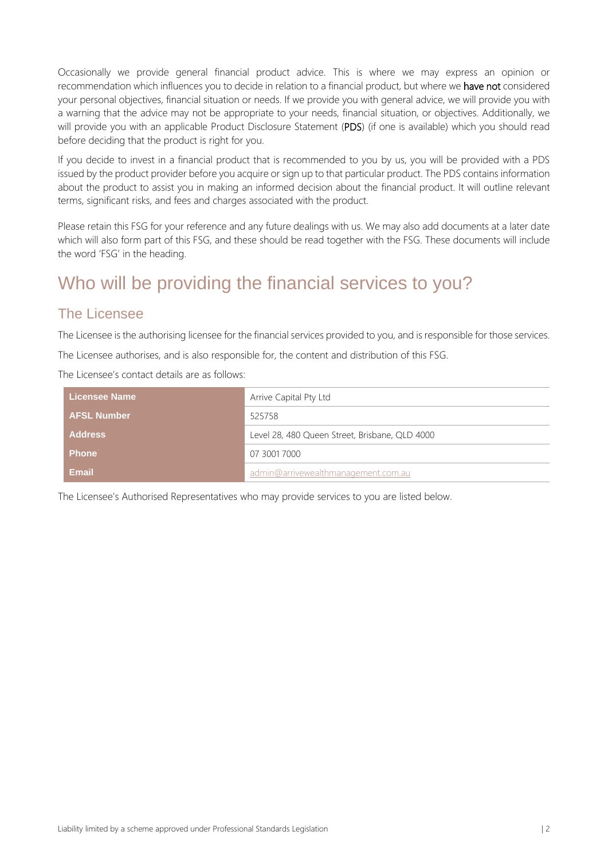Occasionally we provide general financial product advice. This is where we may express an opinion or recommendation which influences you to decide in relation to a financial product, but where we have not considered your personal objectives, financial situation or needs. If we provide you with general advice, we will provide you with a warning that the advice may not be appropriate to your needs, financial situation, or objectives. Additionally, we will provide you with an applicable Product Disclosure Statement (PDS) (if one is available) which you should read before deciding that the product is right for you.

If you decide to invest in a financial product that is recommended to you by us, you will be provided with a PDS issued by the product provider before you acquire or sign up to that particular product. The PDS contains information about the product to assist you in making an informed decision about the financial product. It will outline relevant terms, significant risks, and fees and charges associated with the product.

Please retain this FSG for your reference and any future dealings with us. We may also add documents at a later date which will also form part of this FSG, and these should be read together with the FSG. These documents will include the word 'FSG' in the heading.

### Who will be providing the financial services to you?

#### The Licensee

The Licensee is the authorising licensee for the financial services provided to you, and is responsible for those services.

The Licensee authorises, and is also responsible for, the content and distribution of this FSG.

The Licensee's contact details are as follows:

| <b>Licensee Name</b> | Arrive Capital Pty Ltd                         |  |
|----------------------|------------------------------------------------|--|
| <b>AFSL Number</b>   | 525758                                         |  |
| <b>Address</b>       | Level 28, 480 Queen Street, Brisbane, QLD 4000 |  |
| <b>Phone</b>         | 07 3001 7000                                   |  |
| Email                | admin@arrivewealthmanagement.com.au            |  |

The Licensee's Authorised Representatives who may provide services to you are listed below.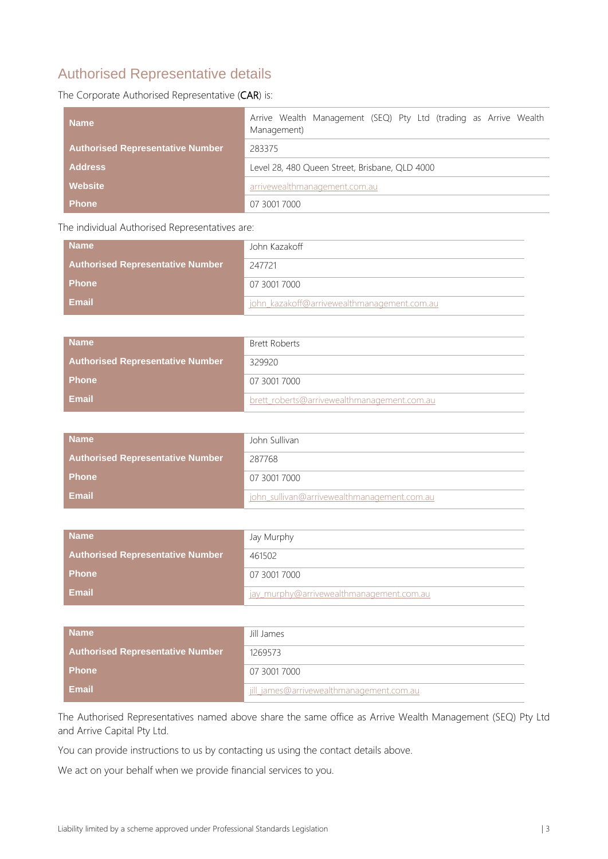#### Authorised Representative details

The Corporate Authorised Representative (CAR) is:

| <b>Name</b>                             | Arrive Wealth Management (SEQ) Pty Ltd (trading as Arrive Wealth<br>Management) |  |
|-----------------------------------------|---------------------------------------------------------------------------------|--|
| <b>Authorised Representative Number</b> | 283375                                                                          |  |
| <b>Address</b>                          | Level 28, 480 Queen Street, Brisbane, QLD 4000                                  |  |
| <b>Website</b>                          | arrivewealthmanagement.com.au                                                   |  |
| <b>Phone</b>                            | 07 3001 7000                                                                    |  |

The individual Authorised Representatives are:

| <b>Name</b>                             | John Kazakoff                               |
|-----------------------------------------|---------------------------------------------|
| <b>Authorised Representative Number</b> | 247721                                      |
| <b>Phone</b>                            | 07 3001 7000                                |
| <b>Email</b>                            | john kazakoff@arrivewealthmanagement.com.au |

| <b>Name</b>                             | Brett Roberts                               |
|-----------------------------------------|---------------------------------------------|
| <b>Authorised Representative Number</b> | 329920                                      |
| <b>Phone</b>                            | 07 3001 7000                                |
| <b>Email</b>                            | brett roberts@arrivewealthmanagement.com.au |

| <b>Name</b>                             | John Sullivan                               |
|-----------------------------------------|---------------------------------------------|
| <b>Authorised Representative Number</b> | 287768                                      |
| <b>Phone</b>                            | 07 3001 7000                                |
| <b>Email</b>                            | john sullivan@arrivewealthmanagement.com.au |

| <b>Name</b>                             | Jay Murphy                               |
|-----------------------------------------|------------------------------------------|
| <b>Authorised Representative Number</b> | 461502                                   |
| <b>Phone</b>                            | 07 3001 7000                             |
| Email                                   | jay murphy@arrivewealthmanagement.com.au |

| <b>Name</b>                             | Jill James                               |
|-----------------------------------------|------------------------------------------|
| <b>Authorised Representative Number</b> | 1269573                                  |
| <b>Phone</b>                            | 07 3001 7000                             |
| Email                                   | jill_james@arrivewealthmanagement.com.au |

The Authorised Representatives named above share the same office as Arrive Wealth Management (SEQ) Pty Ltd and Arrive Capital Pty Ltd.

You can provide instructions to us by contacting us using the contact details above.

We act on your behalf when we provide financial services to you.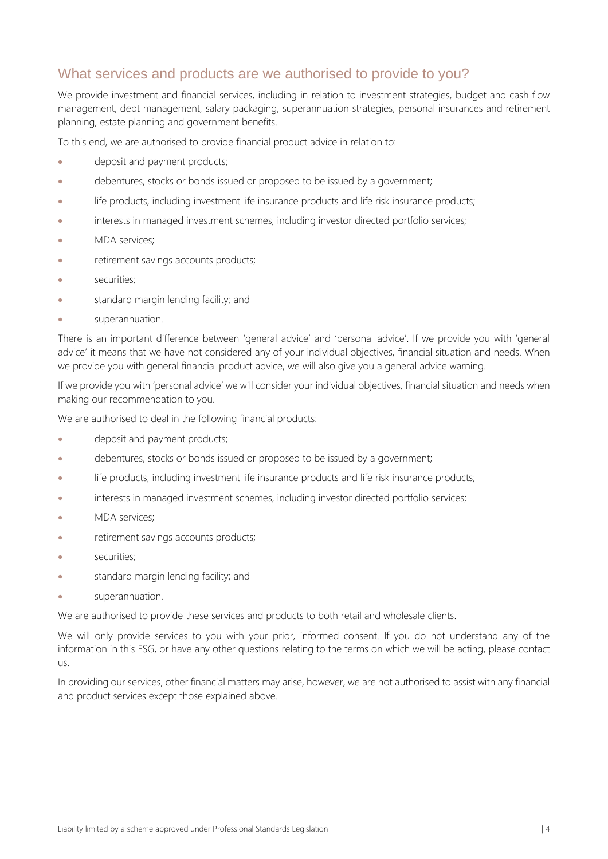#### What services and products are we authorised to provide to you?

We provide investment and financial services, including in relation to investment strategies, budget and cash flow management, debt management, salary packaging, superannuation strategies, personal insurances and retirement planning, estate planning and government benefits.

To this end, we are authorised to provide financial product advice in relation to:

- deposit and payment products;
- debentures, stocks or bonds issued or proposed to be issued by a government;
- life products, including investment life insurance products and life risk insurance products;
- interests in managed investment schemes, including investor directed portfolio services;
- MDA services;
- retirement savings accounts products;
- securities:
- standard margin lending facility; and
- superannuation.

There is an important difference between 'general advice' and 'personal advice'. If we provide you with 'general advice' it means that we have not considered any of your individual objectives, financial situation and needs. When we provide you with general financial product advice, we will also give you a general advice warning.

If we provide you with 'personal advice' we will consider your individual objectives, financial situation and needs when making our recommendation to you.

We are authorised to deal in the following financial products:

- deposit and payment products;
- debentures, stocks or bonds issued or proposed to be issued by a government;
- life products, including investment life insurance products and life risk insurance products;
- interests in managed investment schemes, including investor directed portfolio services;
- MDA services;
- retirement savings accounts products;
- securities;
- standard margin lending facility; and
- superannuation.

We are authorised to provide these services and products to both retail and wholesale clients.

We will only provide services to you with your prior, informed consent. If you do not understand any of the information in this FSG, or have any other questions relating to the terms on which we will be acting, please contact  $\overline{11}$ 

In providing our services, other financial matters may arise, however, we are not authorised to assist with any financial and product services except those explained above.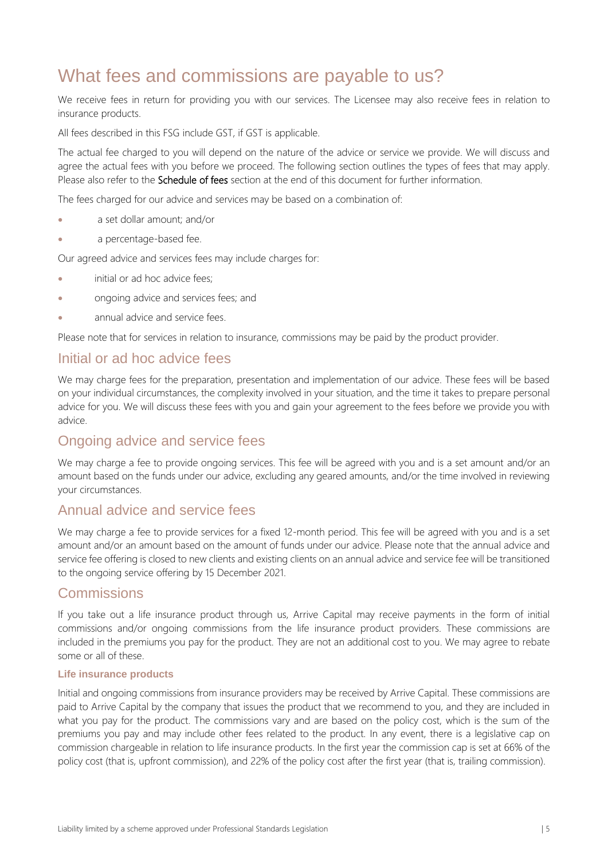# What fees and commissions are payable to us?

We receive fees in return for providing you with our services. The Licensee may also receive fees in relation to insurance products.

All fees described in this FSG include GST, if GST is applicable.

The actual fee charged to you will depend on the nature of the advice or service we provide. We will discuss and agree the actual fees with you before we proceed. The following section outlines the types of fees that may apply. Please also refer to the **Schedule of fees** section at the end of this document for further information.

The fees charged for our advice and services may be based on a combination of:

- a set dollar amount; and/or
- a percentage-based fee.

Our agreed advice and services fees may include charges for:

- initial or ad hoc advice fees;
- ongoing advice and services fees; and
- annual advice and service fees.

Please note that for services in relation to insurance, commissions may be paid by the product provider.

#### Initial or ad hoc advice fees

We may charge fees for the preparation, presentation and implementation of our advice. These fees will be based on your individual circumstances, the complexity involved in your situation, and the time it takes to prepare personal advice for you. We will discuss these fees with you and gain your agreement to the fees before we provide you with advice.

#### Ongoing advice and service fees

We may charge a fee to provide ongoing services. This fee will be agreed with you and is a set amount and/or an amount based on the funds under our advice, excluding any geared amounts, and/or the time involved in reviewing your circumstances.

#### Annual advice and service fees

We may charge a fee to provide services for a fixed 12-month period. This fee will be agreed with you and is a set amount and/or an amount based on the amount of funds under our advice. Please note that the annual advice and service fee offering is closed to new clients and existing clients on an annual advice and service fee will be transitioned to the ongoing service offering by 15 December 2021.

#### **Commissions**

If you take out a life insurance product through us, Arrive Capital may receive payments in the form of initial commissions and/or ongoing commissions from the life insurance product providers. These commissions are included in the premiums you pay for the product. They are not an additional cost to you. We may agree to rebate some or all of these.

#### **Life insurance products**

Initial and ongoing commissions from insurance providers may be received by Arrive Capital. These commissions are paid to Arrive Capital by the company that issues the product that we recommend to you, and they are included in what you pay for the product. The commissions vary and are based on the policy cost, which is the sum of the premiums you pay and may include other fees related to the product. In any event, there is a legislative cap on commission chargeable in relation to life insurance products. In the first year the commission cap is set at 66% of the policy cost (that is, upfront commission), and 22% of the policy cost after the first year (that is, trailing commission).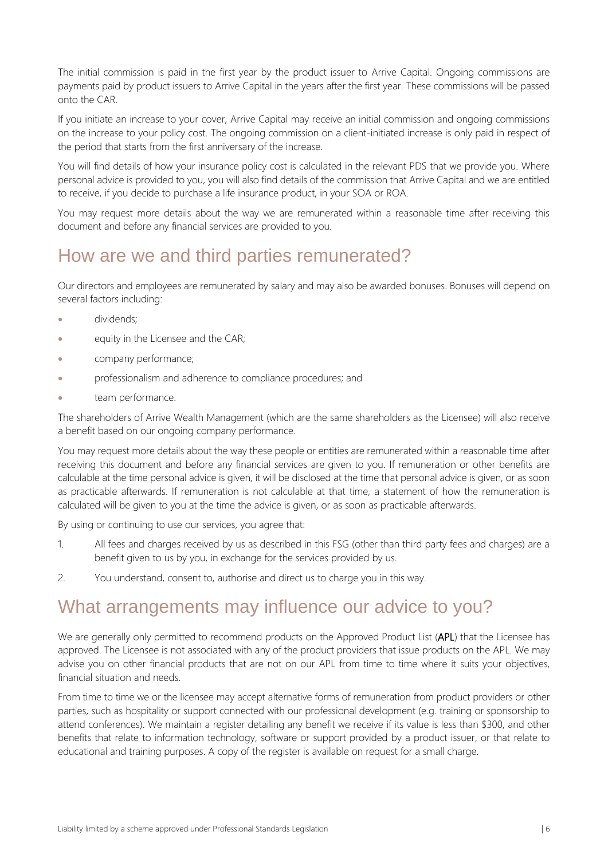The initial commission is paid in the first year by the product issuer to Arrive Capital. Ongoing commissions are payments paid by product issuers to Arrive Capital in the years after the first year. These commissions will be passed onto the CAR.

If you initiate an increase to your cover, Arrive Capital may receive an initial commission and ongoing commissions on the increase to your policy cost. The ongoing commission on a client-initiated increase is only paid in respect of the period that starts from the first anniversary of the increase.

You will find details of how your insurance policy cost is calculated in the relevant PDS that we provide you. Where personal advice is provided to you, you will also find details of the commission that Arrive Capital and we are entitled to receive, if you decide to purchase a life insurance product, in your SOA or ROA.

You may request more details about the way we are remunerated within a reasonable time after receiving this document and before any financial services are provided to you.

### How are we and third parties remunerated?

Our directors and employees are remunerated by salary and may also be awarded bonuses. Bonuses will depend on several factors including:

- dividends;
- equity in the Licensee and the CAR;
- company performance;
- professionalism and adherence to compliance procedures; and
- team performance.

The shareholders of Arrive Wealth Management (which are the same shareholders as the Licensee) will also receive a benefit based on our ongoing company performance.

You may request more details about the way these people or entities are remunerated within a reasonable time after receiving this document and before any financial services are given to you. If remuneration or other benefits are calculable at the time personal advice is given, it will be disclosed at the time that personal advice is given, or as soon as practicable afterwards. If remuneration is not calculable at that time, a statement of how the remuneration is calculated will be given to you at the time the advice is given, or as soon as practicable afterwards.

By using or continuing to use our services, you agree that:

- 1. All fees and charges received by us as described in this FSG (other than third party fees and charges) are a benefit given to us by you, in exchange for the services provided by us.
- 2. You understand, consent to, authorise and direct us to charge you in this way.

### What arrangements may influence our advice to you?

We are generally only permitted to recommend products on the Approved Product List (APL) that the Licensee has approved. The Licensee is not associated with any of the product providers that issue products on the APL. We may advise you on other financial products that are not on our APL from time to time where it suits your objectives, financial situation and needs.

From time to time we or the licensee may accept alternative forms of remuneration from product providers or other parties, such as hospitality or support connected with our professional development (e.g. training or sponsorship to attend conferences). We maintain a register detailing any benefit we receive if its value is less than \$300, and other benefits that relate to information technology, software or support provided by a product issuer, or that relate to educational and training purposes. A copy of the register is available on request for a small charge.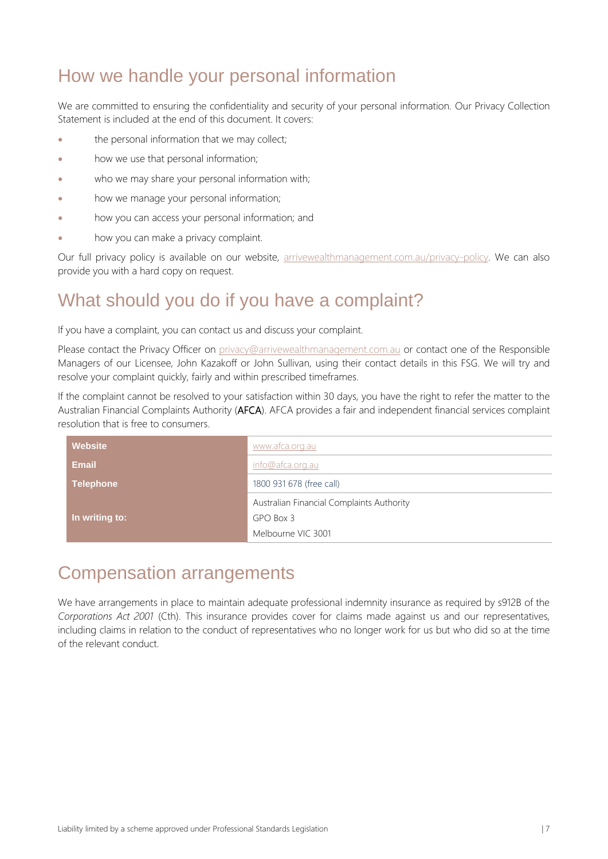# How we handle your personal information

We are committed to ensuring the confidentiality and security of your personal information. Our Privacy Collection Statement is included at the end of this document. It covers:

- the personal information that we may collect;
- how we use that personal information;
- who we may share your personal information with;
- how we manage your personal information;
- how you can access your personal information; and
- how you can make a privacy complaint.

Our full privacy policy is available on our website, [arrivewealthmanagement.com.au/privacy-policy.](https://www.arrivewealthmanagement.com.au/privacy-policy) We can also provide you with a hard copy on request.

### What should you do if you have a complaint?

If you have a complaint, you can contact us and discuss your complaint.

Please contact the Privacy Officer on [privacy@arrivewealthmanagement.com.au](mailto:privacy@arrivewealthmanagement.com.au) or contact one of the Responsible Managers of our Licensee, John Kazakoff or John Sullivan, using their contact details in this FSG. We will try and resolve your complaint quickly, fairly and within prescribed timeframes.

If the complaint cannot be resolved to your satisfaction within 30 days, you have the right to refer the matter to the Australian Financial Complaints Authority (AFCA). AFCA provides a fair and independent financial services complaint resolution that is free to consumers.

| <b>Website</b>   | www.afca.org.au                           |
|------------------|-------------------------------------------|
| <b>Email</b>     | info@afca.org.au                          |
| <b>Telephone</b> | 1800 931 678 (free call)                  |
|                  | Australian Financial Complaints Authority |
| In writing to:   | GPO Box 3                                 |
|                  | Melbourne VIC 3001                        |

### Compensation arrangements

We have arrangements in place to maintain adequate professional indemnity insurance as required by s912B of the *Corporations Act 2001* (Cth). This insurance provides cover for claims made against us and our representatives, including claims in relation to the conduct of representatives who no longer work for us but who did so at the time of the relevant conduct.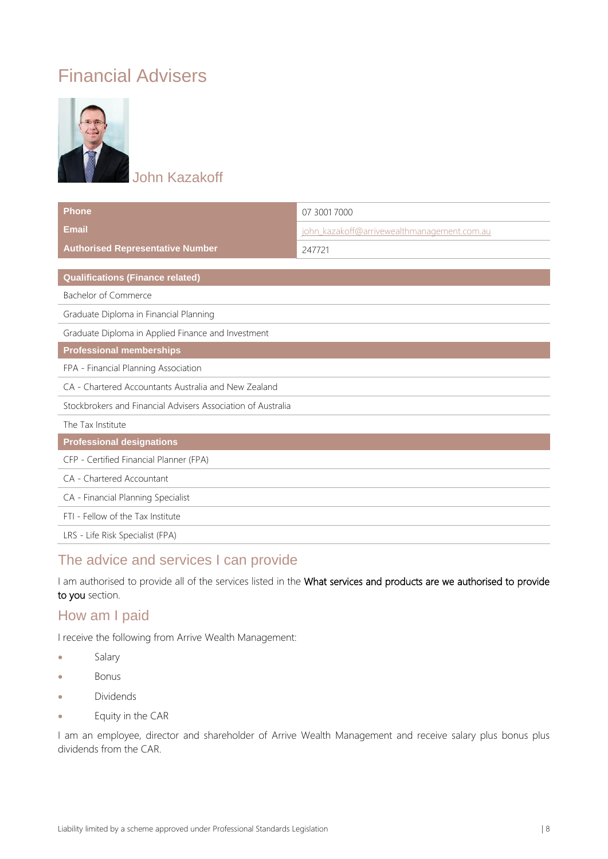# Financial Advisers



John Kazakoff

| <b>Phone</b>                                                 | 07 3001 7000                                |
|--------------------------------------------------------------|---------------------------------------------|
| <b>Email</b>                                                 | john kazakoff@arrivewealthmanagement.com.au |
| <b>Authorised Representative Number</b>                      | 247721                                      |
|                                                              |                                             |
| <b>Qualifications (Finance related)</b>                      |                                             |
| <b>Bachelor of Commerce</b>                                  |                                             |
| Graduate Diploma in Financial Planning                       |                                             |
| Graduate Diploma in Applied Finance and Investment           |                                             |
| <b>Professional memberships</b>                              |                                             |
| FPA - Financial Planning Association                         |                                             |
| CA - Chartered Accountants Australia and New Zealand         |                                             |
| Stockbrokers and Financial Advisers Association of Australia |                                             |
| The Tax Institute                                            |                                             |
| <b>Professional designations</b>                             |                                             |
| CFP - Certified Financial Planner (FPA)                      |                                             |
| CA - Chartered Accountant                                    |                                             |
| CA - Financial Planning Specialist                           |                                             |
| FTI - Fellow of the Tax Institute                            |                                             |
| LRS - Life Risk Specialist (FPA)                             |                                             |

#### The advice and services I can provide

I am authorised to provide all of the services listed in the What services and products are we authorised to provide to you section.

#### How am I paid

I receive the following from Arrive Wealth Management:

- Salary
- Bonus
- Dividends
- Equity in the CAR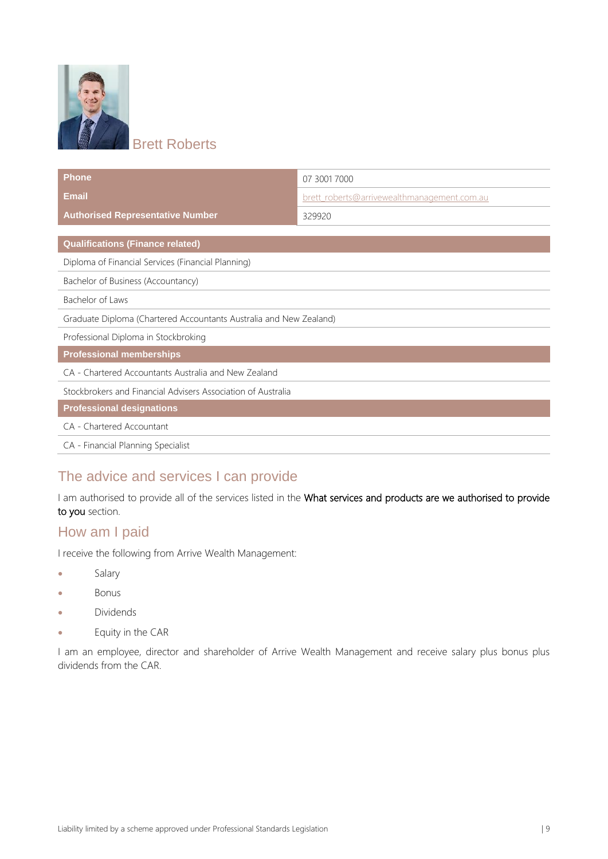

**Brett Roberts** 

| <b>Phone</b>                                                       | 07 3001 7000                                |  |
|--------------------------------------------------------------------|---------------------------------------------|--|
| <b>Email</b>                                                       | brett_roberts@arrivewealthmanagement.com.au |  |
| <b>Authorised Representative Number</b>                            | 329920                                      |  |
|                                                                    |                                             |  |
| <b>Qualifications (Finance related)</b>                            |                                             |  |
| Diploma of Financial Services (Financial Planning)                 |                                             |  |
| Bachelor of Business (Accountancy)                                 |                                             |  |
| Bachelor of Laws                                                   |                                             |  |
| Graduate Diploma (Chartered Accountants Australia and New Zealand) |                                             |  |
| Professional Diploma in Stockbroking                               |                                             |  |
| <b>Professional memberships</b>                                    |                                             |  |
| CA - Chartered Accountants Australia and New Zealand               |                                             |  |
| Stockbrokers and Financial Advisers Association of Australia       |                                             |  |
| <b>Professional designations</b>                                   |                                             |  |
| CA - Chartered Accountant                                          |                                             |  |
| CA - Financial Planning Specialist                                 |                                             |  |

### The advice and services I can provide

I am authorised to provide all of the services listed in the What services and products are we authorised to provide to you section.

#### How am I paid

I receive the following from Arrive Wealth Management:

- Salary
- Bonus
- Dividends
- Equity in the CAR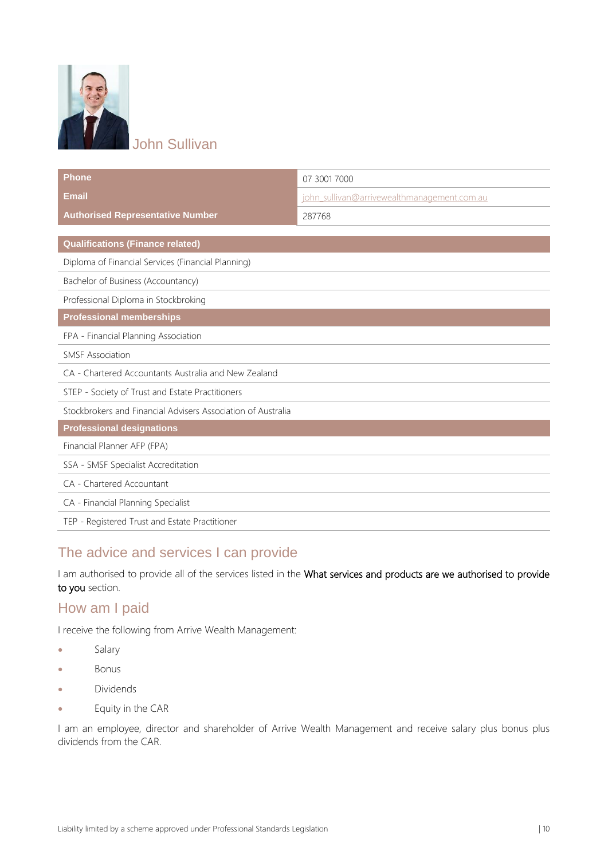

### John Sullivan

| Phone                                                        | 07 3001 7000                                |
|--------------------------------------------------------------|---------------------------------------------|
| <b>Email</b>                                                 | john sullivan@arrivewealthmanagement.com.au |
| <b>Authorised Representative Number</b>                      | 287768                                      |
| <b>Qualifications (Finance related)</b>                      |                                             |
|                                                              |                                             |
| Diploma of Financial Services (Financial Planning)           |                                             |
| Bachelor of Business (Accountancy)                           |                                             |
| Professional Diploma in Stockbroking                         |                                             |
| <b>Professional memberships</b>                              |                                             |
| FPA - Financial Planning Association                         |                                             |
| <b>SMSF Association</b>                                      |                                             |
| CA - Chartered Accountants Australia and New Zealand         |                                             |
| STEP - Society of Trust and Estate Practitioners             |                                             |
| Stockbrokers and Financial Advisers Association of Australia |                                             |
| <b>Professional designations</b>                             |                                             |
| Financial Planner AFP (FPA)                                  |                                             |
| SSA - SMSF Specialist Accreditation                          |                                             |
| CA - Chartered Accountant                                    |                                             |
| CA - Financial Planning Specialist                           |                                             |
| TEP - Registered Trust and Estate Practitioner               |                                             |

#### The advice and services I can provide

I am authorised to provide all of the services listed in the What services and products are we authorised to provide to you section.

#### How am I paid

I receive the following from Arrive Wealth Management:

- Salary
- Bonus
- Dividends
- Equity in the CAR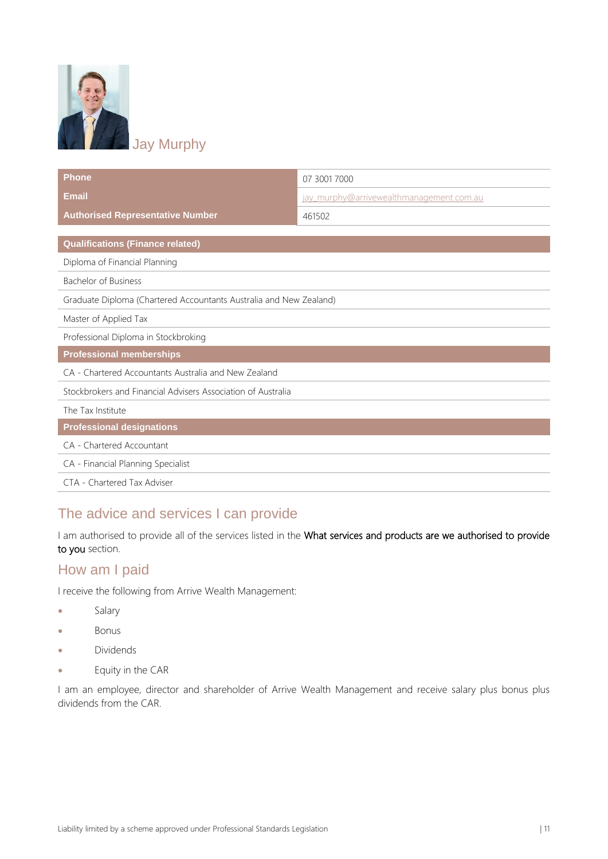

**Phone** 07 3001 7000 **Email Email intervention of the community of the community of the community of the community of the community of the community of the community of the community of the community of the community of the community of th Authorised Representative Number 1999 120 130 1461502 Qualifications (Finance related)** Diploma of Financial Planning Bachelor of Business Graduate Diploma (Chartered Accountants Australia and New Zealand) Master of Applied Tax Professional Diploma in Stockbroking **Professional memberships** CA - Chartered Accountants Australia and New Zealand Stockbrokers and Financial Advisers Association of Australia The Tax Institute **Professional designations** CA - Chartered Accountant CA - Financial Planning Specialist CTA - Chartered Tax Adviser

### The advice and services I can provide

I am authorised to provide all of the services listed in the What services and products are we authorised to provide to you section.

#### How am I paid

I receive the following from Arrive Wealth Management:

- **Salary**
- Bonus
- Dividends
- Equity in the CAR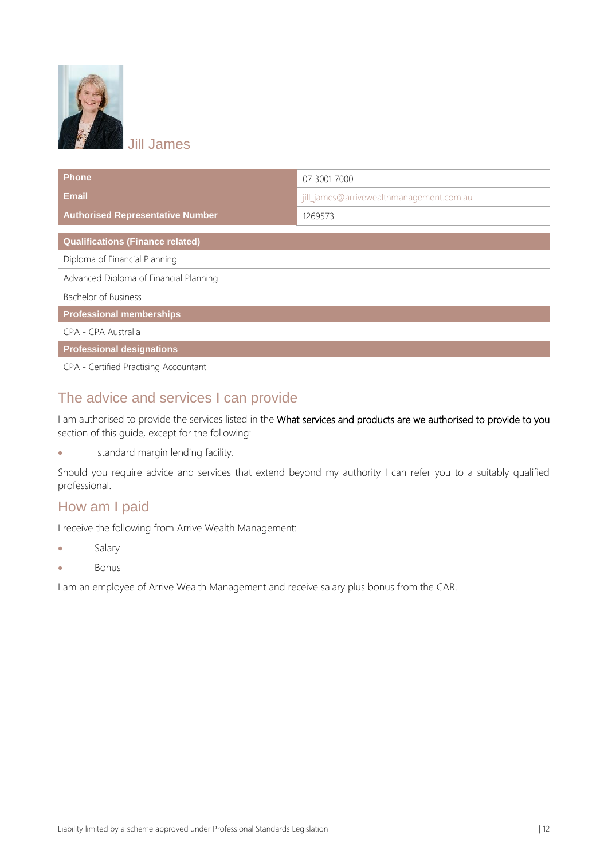

Jill James

| <b>Phone</b>                            | 07 3001 7000                             |
|-----------------------------------------|------------------------------------------|
| <b>Email</b>                            | jill james@arrivewealthmanagement.com.au |
| <b>Authorised Representative Number</b> | 1269573                                  |
| <b>Qualifications (Finance related)</b> |                                          |
| Diploma of Financial Planning           |                                          |
| Advanced Diploma of Financial Planning  |                                          |
| Bachelor of Business                    |                                          |
| <b>Professional memberships</b>         |                                          |
| CPA - CPA Australia                     |                                          |
| <b>Professional designations</b>        |                                          |
| CPA - Certified Practising Accountant   |                                          |

### The advice and services I can provide

I am authorised to provide the services listed in the What services and products are we authorised to provide to you section of this guide, except for the following:

• standard margin lending facility.

Should you require advice and services that extend beyond my authority I can refer you to a suitably qualified professional.

#### How am I paid

I receive the following from Arrive Wealth Management:

- Salary
- Bonus

I am an employee of Arrive Wealth Management and receive salary plus bonus from the CAR.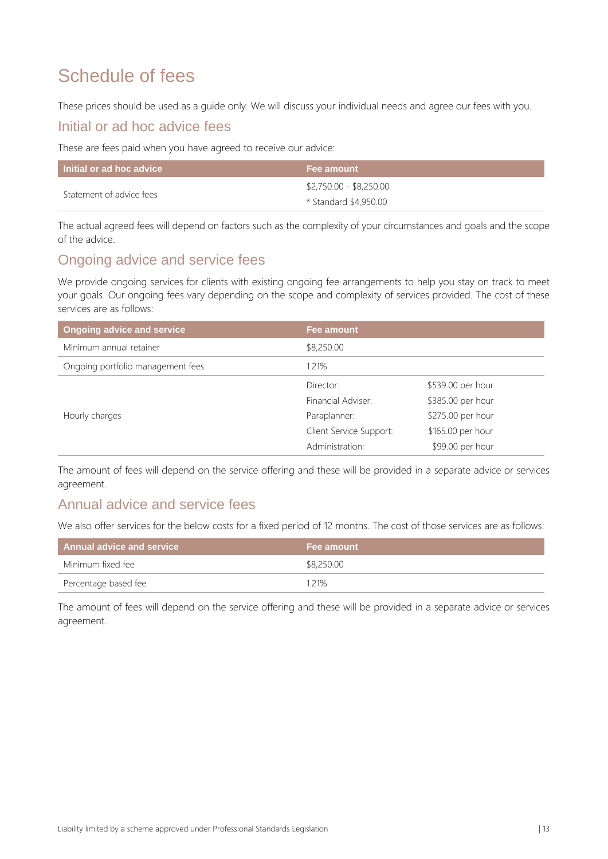# Schedule of fees

These prices should be used as a guide only. We will discuss your individual needs and agree our fees with you.

#### Initial or ad hoc advice fees

These are fees paid when you have agreed to receive our advice:

| Initial or ad hoc advice | Fee amount                                       |
|--------------------------|--------------------------------------------------|
| Statement of advice fees | \$2,750.00 - \$8,250.00<br>* Standard \$4,950.00 |

The actual agreed fees will depend on factors such as the complexity of your circumstances and goals and the scope of the advice.

#### Ongoing advice and service fees

We provide ongoing services for clients with existing ongoing fee arrangements to help you stay on track to meet your goals. Our ongoing fees vary depending on the scope and complexity of services provided. The cost of these services are as follows:

| <b>Ongoing advice and service</b> | <b>Fee amount</b>       |                   |  |
|-----------------------------------|-------------------------|-------------------|--|
| Minimum annual retainer           | \$8,250.00              |                   |  |
| Ongoing portfolio management fees | 1.21%                   |                   |  |
|                                   | Director:               | \$539.00 per hour |  |
|                                   | Financial Adviser:      | \$385.00 per hour |  |
| Hourly charges                    | Paraplanner:            | \$275.00 per hour |  |
|                                   | Client Service Support: | \$165.00 per hour |  |
|                                   | Administration:         | \$99.00 per hour  |  |

The amount of fees will depend on the service offering and these will be provided in a separate advice or services agreement.

#### Annual advice and service fees

We also offer services for the below costs for a fixed period of 12 months. The cost of those services are as follows:

| Annual advice and service | <b>Fee amount</b> |
|---------------------------|-------------------|
| Minimum fixed fee         | \$8,250.00        |
| Percentage based fee      | 1.21%             |

The amount of fees will depend on the service offering and these will be provided in a separate advice or services agreement.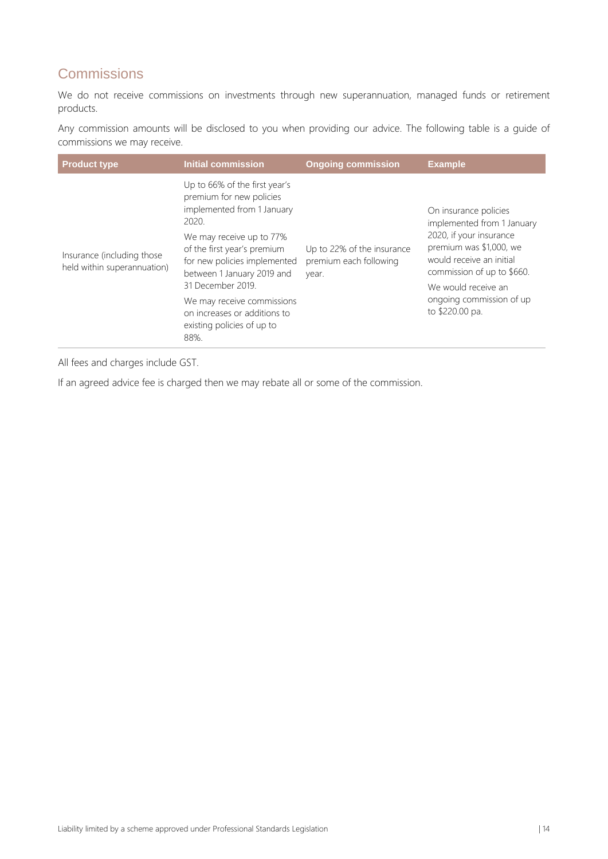### **Commissions**

We do not receive commissions on investments through new superannuation, managed funds or retirement products.

Any commission amounts will be disclosed to you when providing our advice. The following table is a guide of commissions we may receive.

| <b>Product type</b>                                        | Initial commission                                                                                                                                                                                                                                                                                                                                 | <b>Ongoing commission</b>                                     | <b>Example</b>                                                                                                                                                                                                                            |
|------------------------------------------------------------|----------------------------------------------------------------------------------------------------------------------------------------------------------------------------------------------------------------------------------------------------------------------------------------------------------------------------------------------------|---------------------------------------------------------------|-------------------------------------------------------------------------------------------------------------------------------------------------------------------------------------------------------------------------------------------|
| Insurance (including those)<br>held within superannuation) | Up to 66% of the first year's<br>premium for new policies<br>implemented from 1 January<br>2020.<br>We may receive up to 77%<br>of the first year's premium<br>for new policies implemented<br>between 1 January 2019 and<br>31 December 2019.<br>We may receive commissions<br>on increases or additions to<br>existing policies of up to<br>88%. | Up to 22% of the insurance<br>premium each following<br>year. | On insurance policies<br>implemented from 1 January<br>2020, if your insurance<br>premium was \$1,000, we<br>would receive an initial<br>commission of up to \$660.<br>We would receive an<br>ongoing commission of up<br>to \$220.00 pa. |

All fees and charges include GST.

If an agreed advice fee is charged then we may rebate all or some of the commission.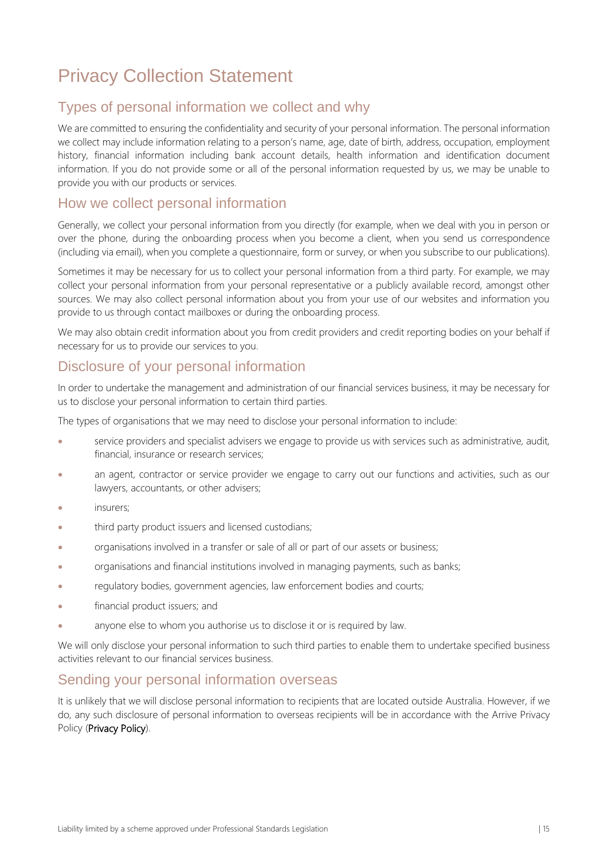# Privacy Collection Statement

#### Types of personal information we collect and why

We are committed to ensuring the confidentiality and security of your personal information. The personal information we collect may include information relating to a person's name, age, date of birth, address, occupation, employment history, financial information including bank account details, health information and identification document information. If you do not provide some or all of the personal information requested by us, we may be unable to provide you with our products or services.

#### How we collect personal information

Generally, we collect your personal information from you directly (for example, when we deal with you in person or over the phone, during the onboarding process when you become a client, when you send us correspondence (including via email), when you complete a questionnaire, form or survey, or when you subscribe to our publications).

Sometimes it may be necessary for us to collect your personal information from a third party. For example, we may collect your personal information from your personal representative or a publicly available record, amongst other sources. We may also collect personal information about you from your use of our websites and information you provide to us through contact mailboxes or during the onboarding process.

We may also obtain credit information about you from credit providers and credit reporting bodies on your behalf if necessary for us to provide our services to you.

#### Disclosure of your personal information

In order to undertake the management and administration of our financial services business, it may be necessary for us to disclose your personal information to certain third parties.

The types of organisations that we may need to disclose your personal information to include:

- service providers and specialist advisers we engage to provide us with services such as administrative, audit, financial, insurance or research services;
- an agent, contractor or service provider we engage to carry out our functions and activities, such as our lawyers, accountants, or other advisers;
- insurers;
- third party product issuers and licensed custodians;
- organisations involved in a transfer or sale of all or part of our assets or business;
- organisations and financial institutions involved in managing payments, such as banks;
- regulatory bodies, government agencies, law enforcement bodies and courts;
- financial product issuers; and
- anyone else to whom you authorise us to disclose it or is required by law.

We will only disclose your personal information to such third parties to enable them to undertake specified business activities relevant to our financial services business.

#### Sending your personal information overseas

It is unlikely that we will disclose personal information to recipients that are located outside Australia. However, if we do, any such disclosure of personal information to overseas recipients will be in accordance with the Arrive Privacy Policy (Privacy Policy).